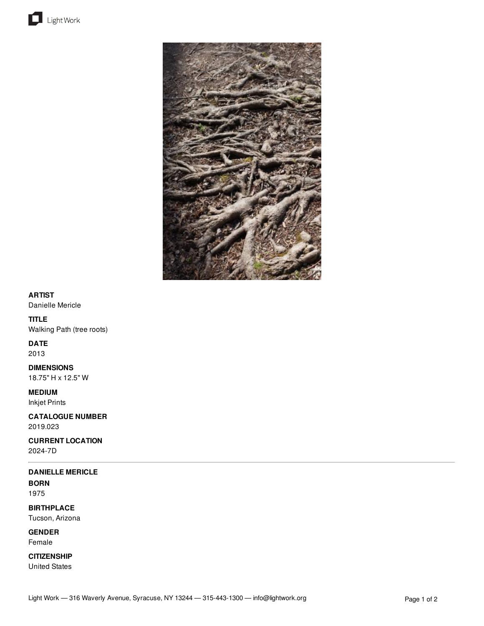



# **ARTIST**

Danielle Mericle

# **TITLE**

Walking Path (tree roots)

### **DATE**

2013

**DIMENSIONS** 18.75" H x 12.5" W

**MEDIUM** Inkjet Prints

**CATALOGUE NUMBER**

2019.023

**CURRENT LOCATION** 2024-7D

# **DANIELLE MERICLE**

**BORN** 1975

**BIRTHPLACE** Tucson, Arizona

**GENDER** Female

**CITIZENSHIP** United States